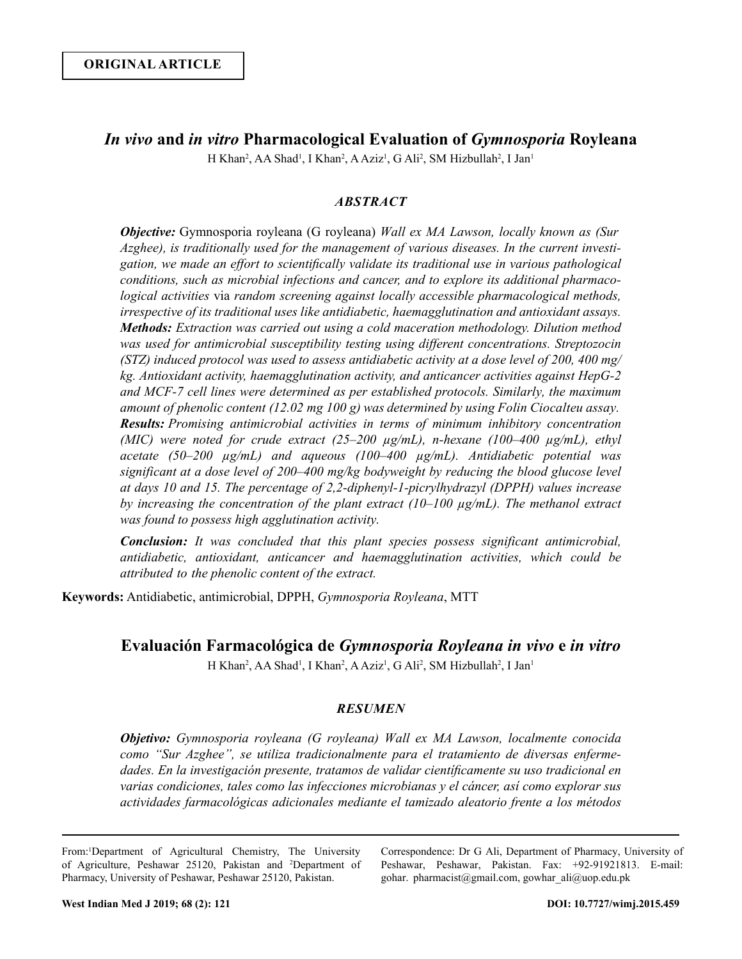# *In vivo* **and** *in vitro* **Pharmacological Evaluation of** *Gymnosporia* **Royleana**

H Khan<sup>2</sup>, AA Shad<sup>1</sup>, I Khan<sup>2</sup>, A Aziz<sup>1</sup>, G Ali<sup>2</sup>, SM Hizbullah<sup>2</sup>, I Jan<sup>1</sup>

# *ABSTRACT*

*Objective:* Gymnosporia royleana (G royleana) *Wall ex MA Lawson, locally known as (Sur Azghee), is traditionally used for the management of various diseases. In the current investigation, we made an effort to scientifically validate its traditional use in various pathological conditions, such as microbial infections and cancer, and to explore its additional pharmacological activities* via *random screening against locally accessible pharmacological methods, irrespective of its traditional uses like antidiabetic, haemagglutination and antioxidant assays. Methods: Extraction was carried out using a cold maceration methodology. Dilution method was used for antimicrobial susceptibility testing using different concentrations. Streptozocin (STZ) induced protocol was used to assess antidiabetic activity at a dose level of 200, 400 mg/ kg. Antioxidant activity, haemagglutination activity, and anticancer activities against HepG-2 and MCF-7 cell lines were determined as per established protocols. Similarly, the maximum amount of phenolic content (12.02 mg 100 g) was determined by using Folin Ciocalteu assay. Results: Promising antimicrobial activities in terms of minimum inhibitory concentration (MIC)* were noted for crude extract (25–200  $\mu$ g/mL), n-hexane (100–400  $\mu$ g/mL), ethyl *acetate (50‒200 µg/mL) and aqueous (100‒400 µg/mL). Antidiabetic potential was significant at a dose level of 200–400 mg/kg bodyweight by reducing the blood glucose level at days 10 and 15. The percentage of 2,2-diphenyl-1-picrylhydrazyl (DPPH) values increase by increasing the concentration of the plant extract (10‒100 µg/mL). The methanol extract was found to possess high agglutination activity.*

*Conclusion: It was concluded that this plant species possess significant antimicrobial, antidiabetic, antioxidant, anticancer and haemagglutination activities, which could be attributed to the phenolic content of the extract.* 

**Keywords:** Antidiabetic, antimicrobial, DPPH, *Gymnosporia Royleana*, MTT

# **Evaluación Farmacológica de** *Gymnosporia Royleana in vivo* **e** *in vitro*

H Khan<sup>2</sup>, AA Shad<sup>1</sup>, I Khan<sup>2</sup>, A Aziz<sup>1</sup>, G Ali<sup>2</sup>, SM Hizbullah<sup>2</sup>, I Jan<sup>1</sup>

# *RESUMEN*

*Objetivo: Gymnosporia royleana (G royleana) Wall ex MA Lawson, localmente conocida como "Sur Azghee", se utiliza tradicionalmente para el tratamiento de diversas enfermedades. En la investigación presente, tratamos de validar científicamente su uso tradicional en varias condiciones, tales como las infecciones microbianas y el cáncer, así como explorar sus actividades farmacológicas adicionales mediante el tamizado aleatorio frente a los métodos* 

From:1 Department of Agricultural Chemistry, The University of Agriculture, Peshawar 25120, Pakistan and <sup>2</sup>Department of Pharmacy, University of Peshawar, Peshawar 25120, Pakistan.

Correspondence: Dr G Ali, Department of Pharmacy, University of Peshawar, Peshawar, Pakistan. Fax: +92-91921813. E-mail: gohar. pharmacist@gmail.com, gowhar\_ali@uop.edu.pk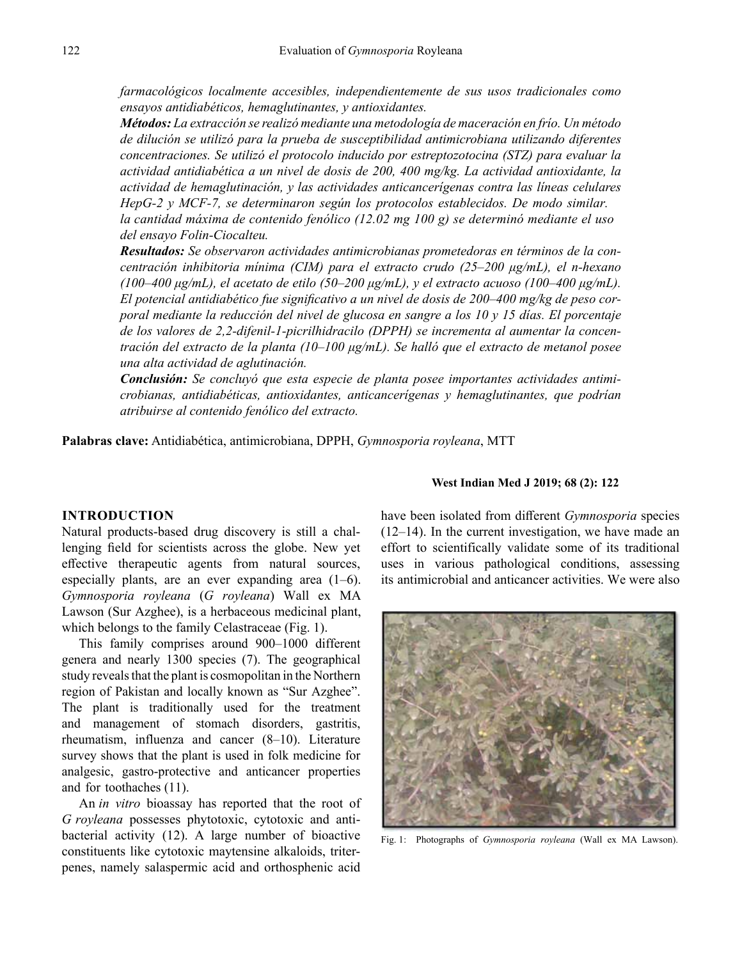*farmacológicos localmente accesibles, independientemente de sus usos tradicionales como ensayos antidiabéticos, hemaglutinantes, y antioxidantes.*

*Métodos: La extracción se realizó mediante una metodología de maceración en frío. Un método de dilución se utilizó para la prueba de susceptibilidad antimicrobiana utilizando diferentes concentraciones. Se utilizó el protocolo inducido por estreptozotocina (STZ) para evaluar la actividad antidiabética a un nivel de dosis de 200, 400 mg/kg. La actividad antioxidante, la actividad de hemaglutinación, y las actividades anticancerígenas contra las líneas celulares HepG-2 y MCF-7, se determinaron según los protocolos establecidos. De modo similar. la cantidad máxima de contenido fenólico (12.02 mg 100 g) se determinó mediante el uso del ensayo Folin-Ciocalteu.*

*Resultados: Se observaron actividades antimicrobianas prometedoras en términos de la concentración inhibitoria mínima (CIM) para el extracto crudo (25‒200 μg/mL), el n-hexano (100‒400 μg/mL), el acetato de etilo (50‒200 μg/mL), y el extracto acuoso (100‒400 μg/mL). El potencial antidiabético fue significativo a un nivel de dosis de 200‒400 mg/kg de peso corporal mediante la reducción del nivel de glucosa en sangre a los 10 y 15 días. El porcentaje de los valores de 2,2-difenil-1-picrilhidracilo (DPPH) se incrementa al aumentar la concentración del extracto de la planta (10‒100 μg/mL). Se halló que el extracto de metanol posee una alta actividad de aglutinación.*

*Conclusión: Se concluyó que esta especie de planta posee importantes actividades antimicrobianas, antidiabéticas, antioxidantes, anticancerígenas y hemaglutinantes, que podrían atribuirse al contenido fenólico del extracto.*

**Palabras clave:** Antidiabética, antimicrobiana, DPPH, *Gymnosporia royleana*, MTT

### **INTRODUCTION**

Natural products-based drug discovery is still a challenging field for scientists across the globe. New yet effective therapeutic agents from natural sources, especially plants, are an ever expanding area  $(1-6)$ . *Gymnosporia royleana* (*G royleana*) Wall ex MA Lawson (Sur Azghee), is a herbaceous medicinal plant, which belongs to the family Celastraceae (Fig. 1).

This family comprises around 900-1000 different genera and nearly 1300 species (7). The geographical study reveals that the plant is cosmopolitan in the Northern region of Pakistan and locally known as "Sur Azghee". The plant is traditionally used for the treatment and management of stomach disorders, gastritis, rheumatism, influenza and cancer  $(8-10)$ . Literature survey shows that the plant is used in folk medicine for analgesic, gastro-protective and anticancer properties and for toothaches (11).

An *in vitro* bioassay has reported that the root of *G royleana* possesses phytotoxic, cytotoxic and antibacterial activity (12). A large number of bioactive constituents like cytotoxic maytensine alkaloids, triterpenes, namely salaspermic acid and orthosphenic acid

#### **West Indian Med J 2019; 68 (2): 122**

have been isolated from different *Gymnosporia* species  $(12-14)$ . In the current investigation, we have made an effort to scientifically validate some of its traditional uses in various pathological conditions, assessing its antimicrobial and anticancer activities. We were also



Fig. 1: Photographs of *Gymnosporia royleana* (Wall ex MA Lawson).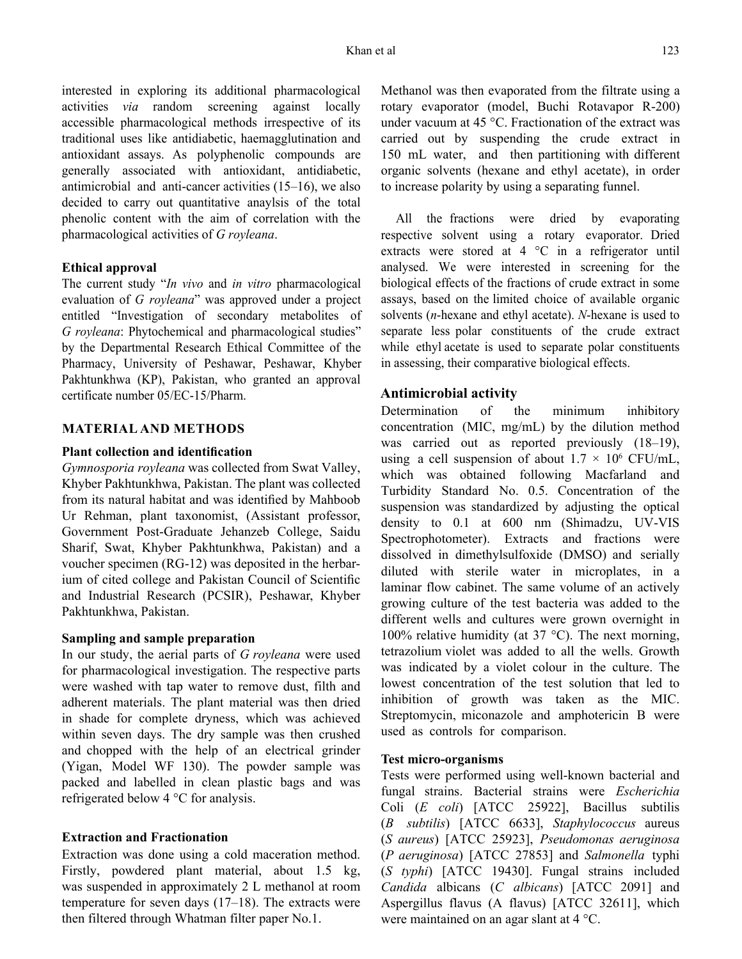interested in exploring its additional pharmacological activities *via* random screening against locally accessible pharmacological methods irrespective of its traditional uses like antidiabetic, haemagglutination and antioxidant assays. As polyphenolic compounds are generally associated with antioxidant, antidiabetic, antimicrobial and anti-cancer activities  $(15-16)$ , we also decided to carry out quantitative anaylsis of the total phenolic content with the aim of correlation with the pharmacological activities of *G royleana*.

### **Ethical approval**

The current study "*In vivo* and *in vitro* pharmacological evaluation of *G royleana*" was approved under a project entitled "Investigation of secondary metabolites of *G royleana*: Phytochemical and pharmacological studies" by the Departmental Research Ethical Committee of the Pharmacy, University of Peshawar, Peshawar, Khyber Pakhtunkhwa (KP), Pakistan, who granted an approval certificate number 05/EC-15/Pharm.

# **MATERIAL AND METHODS**

### **Plant collection and identification**

*Gymnosporia royleana* was collected from Swat Valley, Khyber Pakhtunkhwa, Pakistan. The plant was collected from its natural habitat and was identified by Mahboob Ur Rehman, plant taxonomist, (Assistant professor, Government Post-Graduate Jehanzeb College, Saidu Sharif, Swat, Khyber Pakhtunkhwa, Pakistan) and a voucher specimen (RG-12) was deposited in the herbarium of cited college and Pakistan Council of Scientific and Industrial Research (PCSIR), Peshawar, Khyber Pakhtunkhwa, Pakistan.

# **Sampling and sample preparation**

In our study, the aerial parts of *G royleana* were used for pharmacological investigation. The respective parts were washed with tap water to remove dust, filth and adherent materials. The plant material was then dried in shade for complete dryness, which was achieved within seven days. The dry sample was then crushed and chopped with the help of an electrical grinder (Yigan, Model WF 130). The powder sample was packed and labelled in clean plastic bags and was refrigerated below 4 °C for analysis.

## **Extraction and Fractionation**

Extraction was done using a cold maceration method. Firstly, powdered plant material, about 1.5 kg, was suspended in approximately 2 L methanol at room temperature for seven days  $(17–18)$ . The extracts were then filtered through Whatman filter paper No.1.

Methanol was then evaporated from the filtrate using a rotary evaporator (model, Buchi Rotavapor R-200) under vacuum at 45 °C. Fractionation of the extract was carried out by suspending the crude extract in 150 mL water, and then partitioning with different organic solvents (hexane and ethyl acetate), in order to increase polarity by using a separating funnel.

All the fractions were dried by evaporating respective solvent using a rotary evaporator. Dried extracts were stored at 4 °C in a refrigerator until analysed. We were interested in screening for the biological effects of the fractions of crude extract in some assays, based on the limited choice of available organic solvents (*n*-hexane and ethyl acetate). *N*-hexane is used to separate less polar constituents of the crude extract while ethyl acetate is used to separate polar constituents in assessing, their comparative biological effects.

#### **Antimicrobial activity**

Determination of the minimum inhibitory concentration (MIC, mg/mL) by the dilution method was carried out as reported previously  $(18-19)$ , using a cell suspension of about  $1.7 \times 10^6$  CFU/mL, which was obtained following Macfarland and Turbidity Standard No. 0.5. Concentration of the suspension was standardized by adjusting the optical density to 0.1 at 600 nm (Shimadzu, UV-VIS Spectrophotometer). Extracts and fractions were dissolved in dimethylsulfoxide (DMSO) and serially diluted with sterile water in microplates, in a laminar flow cabinet. The same volume of an actively growing culture of the test bacteria was added to the different wells and cultures were grown overnight in 100% relative humidity (at  $37^{\circ}$ C). The next morning, tetrazolium violet was added to all the wells. Growth was indicated by a violet colour in the culture. The lowest concentration of the test solution that led to inhibition of growth was taken as the MIC. Streptomycin, miconazole and amphotericin B were used as controls for comparison.

# **Test micro-organisms**

 *Candida* albicans (*C albicans*) [ATCC 2091] and Tests were performed using well-known bacterial and fungal strains. Bacterial strains were *Escherichia* Coli (*E coli*) [ATCC 25922], Bacillus subtilis (*B subtilis*) [ATCC 6633], *Staphylococcus* aureus (*S aureus*) [ATCC 25923], *Pseudomonas aeruginosa* (*P aeruginosa*) [ATCC 27853] and *Salmonella* typhi (*S typhi*) [ATCC 19430]. Fungal strains included Aspergillus flavus (A flavus) [ATCC 32611], which were maintained on an agar slant at 4 °C.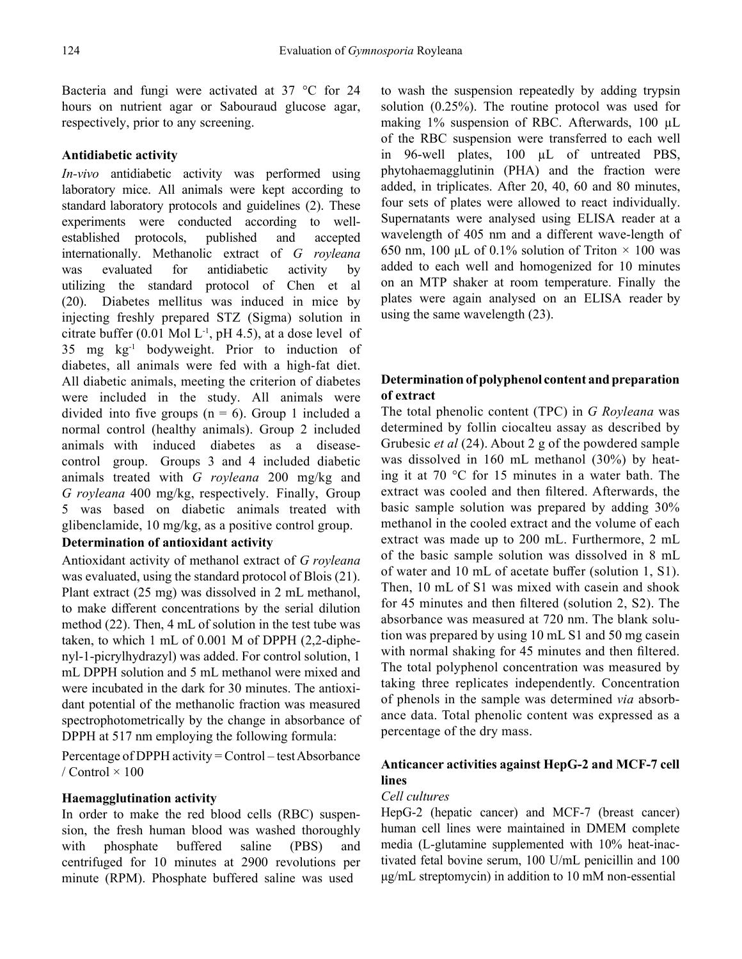Bacteria and fungi were activated at 37 °C for 24 hours on nutrient agar or Sabouraud glucose agar, respectively, prior to any screening.

# **Antidiabetic activity**

*In-vivo* antidiabetic activity was performed using laboratory mice. All animals were kept according to standard laboratory protocols and guidelines (2). These experiments were conducted according to wellestablished protocols, published and accepted internationally. Methanolic extract of *G royleana* was evaluated for antidiabetic activity by utilizing the standard protocol of Chen et al (20). Diabetes mellitus was induced in mice by injecting freshly prepared STZ (Sigma) solution in citrate buffer  $(0.01 \text{ Mol L}^{-1}, \text{pH } 4.5)$ , at a dose level of 35 mg kg -1 bodyweight. Prior to induction of diabetes, all animals were fed with a high-fat diet. All diabetic animals, meeting the criterion of diabetes were included in the study. All animals were divided into five groups ( $n = 6$ ). Group 1 included a normal control (healthy animals). Group 2 included animals with induced diabetes as a diseasecontrol group. Groups 3 and 4 included diabetic animals treated with *G royleana* 200 mg/kg and *G royleana* 400 mg/kg, respectively. Finally, Group 5 was based on diabetic animals treated with glibenclamide, 10 mg/kg, as a positive control group.

# **Determination of antioxidant activity**

Antioxidant activity of methanol extract of *G royleana* was evaluated, using the standard protocol of Blois (21). Plant extract (25 mg) was dissolved in 2 mL methanol, to make different concentrations by the serial dilution method (22). Then, 4 mL of solution in the test tube was taken, to which 1 mL of 0.001 M of DPPH (2,2-diphenyl-1-picrylhydrazyl) was added. For control solution, 1 mL DPPH solution and 5 mL methanol were mixed and were incubated in the dark for 30 minutes. The antioxidant potential of the methanolic fraction was measured spectrophotometrically by the change in absorbance of DPPH at 517 nm employing the following formula:

Percentage of DPPH activity = Control – test Absorbance / Control  $\times$  100

### **Haemagglutination activity**

In order to make the red blood cells (RBC) suspension, the fresh human blood was washed thoroughly with phosphate buffered saline (PBS) and centrifuged for 10 minutes at 2900 revolutions per minute (RPM). Phosphate buffered saline was used

to wash the suspension repeatedly by adding trypsin solution (0.25%). The routine protocol was used for making 1% suspension of RBC. Afterwards, 100 µL of the RBC suspension were transferred to each well in 96-well plates, 100 µL of untreated PBS, phytohaemagglutinin (PHA) and the fraction were added, in triplicates. After 20, 40, 60 and 80 minutes, four sets of plates were allowed to react individually. Supernatants were analysed using ELISA reader at a wavelength of 405 nm and a different wave-length of 650 nm, 100 µL of 0.1% solution of Triton  $\times$  100 was added to each well and homogenized for 10 minutes on an MTP shaker at room temperature. Finally the plates were again analysed on an ELISA reader by using the same wavelength (23).

# **Determination of polyphenol content and preparation of extract**

The total phenolic content (TPC) in *G Royleana* was determined by follin ciocalteu assay as described by Grubesic *et al* (24). About 2 g of the powdered sample was dissolved in 160 mL methanol (30%) by heating it at 70 °C for 15 minutes in a water bath. The extract was cooled and then filtered. Afterwards, the basic sample solution was prepared by adding 30% methanol in the cooled extract and the volume of each extract was made up to 200 mL. Furthermore, 2 mL of the basic sample solution was dissolved in 8 mL of water and 10 mL of acetate buffer (solution 1, S1). Then, 10 mL of S1 was mixed with casein and shook for 45 minutes and then filtered (solution 2, S2). The absorbance was measured at 720 nm. The blank solution was prepared by using 10 mL S1 and 50 mg casein with normal shaking for 45 minutes and then filtered. The total polyphenol concentration was measured by taking three replicates independently. Concentration of phenols in the sample was determined *via* absorbance data. Total phenolic content was expressed as a percentage of the dry mass.

# **Anticancer activities against HepG-2 and MCF-7 cell lines**

#### *Cell cultures*

HepG-2 (hepatic cancer) and MCF-7 (breast cancer) human cell lines were maintained in DMEM complete media (L-glutamine supplemented with 10% heat-inactivated fetal bovine serum, 100 U/mL penicillin and 100 μg/mL streptomycin) in addition to 10 mM non-essential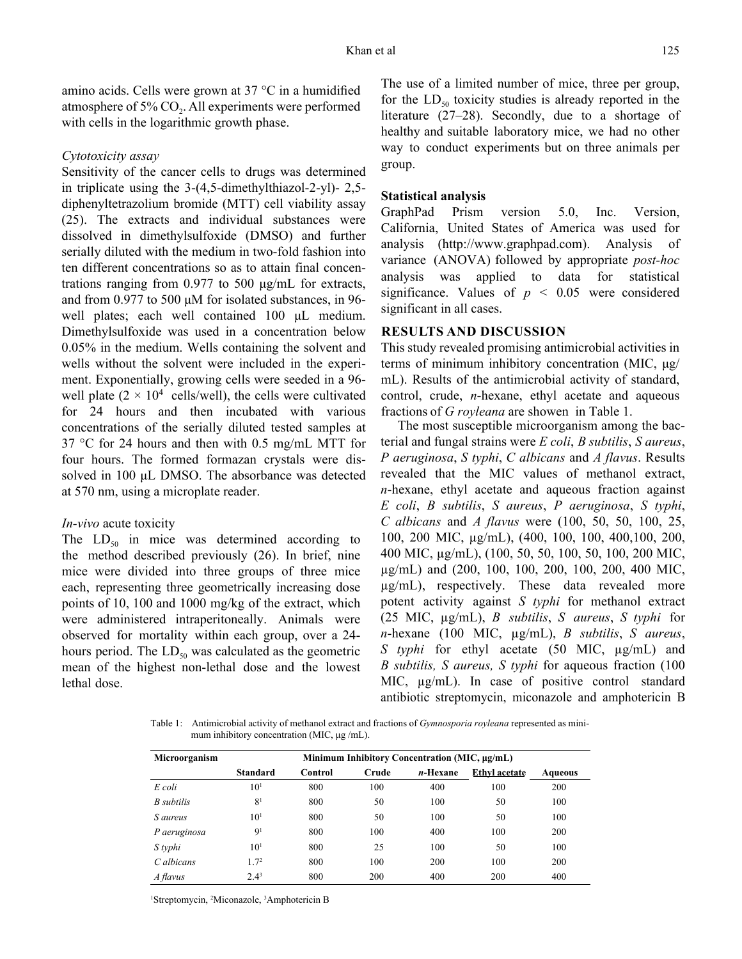amino acids. Cells were grown at  $37 \degree C$  in a humidified atmosphere of  $5\%$  CO<sub>2</sub>. All experiments were performed with cells in the logarithmic growth phase.

### *Cytotoxicity assay*

Sensitivity of the cancer cells to drugs was determined in triplicate using the 3-(4,5-dimethylthiazol-2-yl)- 2,5 diphenyltetrazolium bromide (MTT) cell viability assay (25). The extracts and individual substances were dissolved in dimethylsulfoxide (DMSO) and further serially diluted with the medium in two-fold fashion into ten different concentrations so as to attain final concentrations ranging from 0.977 to 500 μg/mL for extracts, and from 0.977 to 500 μM for isolated substances, in 96 well plates; each well contained 100 μL medium. Dimethylsulfoxide was used in a concentration below 0.05% in the medium. Wells containing the solvent and wells without the solvent were included in the experiment. Exponentially, growing cells were seeded in a 96 well plate  $(2 \times 10^4 \text{ cells/well})$ , the cells were cultivated for 24 hours and then incubated with various concentrations of the serially diluted tested samples at 37 °C for 24 hours and then with 0.5 mg/mL MTT for four hours. The formed formazan crystals were dissolved in 100 μL DMSO. The absorbance was detected at 570 nm, using a microplate reader.

#### *In-vivo* acute toxicity

The  $LD_{50}$  in mice was determined according to the method described previously (26). In brief, nine mice were divided into three groups of three mice each, representing three geometrically increasing dose points of 10, 100 and 1000 mg/kg of the extract, which were administered intraperitoneally. Animals were observed for mortality within each group, over a 24 hours period. The  $LD_{50}$  was calculated as the geometric mean of the highest non-lethal dose and the lowest lethal dose.

The use of a limited number of mice, three per group, for the  $LD_{50}$  toxicity studies is already reported in the literature (27–28). Secondly, due to a shortage of healthy and suitable laboratory mice, we had no other way to conduct experiments but on three animals per group.

#### **Statistical analysis**

GraphPad Prism version 5.0, Inc. Version, California, United States of America was used for analysis (http://www.graphpad.com). Analysis of variance (ANOVA) followed by appropriate *post-hoc* analysis was applied to data for statistical significance. Values of  $p \leq 0.05$  were considered significant in all cases.

#### **RESULTS AND DISCUSSION**

This study revealed promising antimicrobial activities in terms of minimum inhibitory concentration (MIC, μg/ mL). Results of the antimicrobial activity of standard, control, crude, *n*-hexane, ethyl acetate and aqueous fractions of *G royleana* are showen in Table 1.

The most susceptible microorganism among the bacterial and fungal strains were *E coli*, *B subtilis*, *S aureus*, *P aeruginosa*, *S typhi*, *C albicans* and *A flavus*. Results revealed that the MIC values of methanol extract, *n*-hexane, ethyl acetate and aqueous fraction against *E coli*, *B subtilis*, *S aureus*, *P aeruginosa*, *S typhi*, *C albicans* and *A flavus* were (100, 50, 50, 100, 25, 100, 200 MIC, µg/mL), (400, 100, 100, 400,100, 200, 400 MIC, µg/mL), (100, 50, 50, 100, 50, 100, 200 MIC, µg/mL) and (200, 100, 100, 200, 100, 200, 400 MIC, µg/mL), respectively. These data revealed more potent activity against *S typhi* for methanol extract (25 MIC, µg/mL), *B subtilis*, *S aureus*, *S typhi* for *n*-hexane (100 MIC, µg/mL), *B subtilis*, *S aureus*, *S typhi* for ethyl acetate (50 MIC, μg/mL) and *B subtilis, S aureus, S typhi* for aqueous fraction (100 MIC,  $\mu$ g/mL). In case of positive control standard antibiotic streptomycin, miconazole and amphotericin B

Table 1: Antimicrobial activity of methanol extract and fractions of *Gymnosporia royleana* represented as minimum inhibitory concentration (MIC, μg /mL).

| Microorganism   | Minimum Inhibitory Concentration (MIC, $\mu$ g/mL) |         |       |                  |                      |         |
|-----------------|----------------------------------------------------|---------|-------|------------------|----------------------|---------|
|                 | <b>Standard</b>                                    | Control | Crude | <i>n</i> -Hexane | <b>Ethyl acetate</b> | Aqueous |
| E coli          | $10^{1}$                                           | 800     | 100   | 400              | 100                  | 200     |
| B subtilis      | 8 <sup>1</sup>                                     | 800     | 50    | 100              | 50                   | 100     |
| <i>S</i> aureus | $10^{1}$                                           | 800     | 50    | 100              | 50                   | 100     |
| P aeruginosa    | 9 <sup>1</sup>                                     | 800     | 100   | 400              | 100                  | 200     |
| S typhi         | $10^{1}$                                           | 800     | 25    | 100              | 50                   | 100     |
| C albicans      | 1.7 <sup>2</sup>                                   | 800     | 100   | 200              | 100                  | 200     |
| A flavus        | $2.4^3$                                            | 800     | 200   | 400              | 200                  | 400     |

<sup>1</sup>Streptomycin, <sup>2</sup>Miconazole, <sup>3</sup>Amphotericin B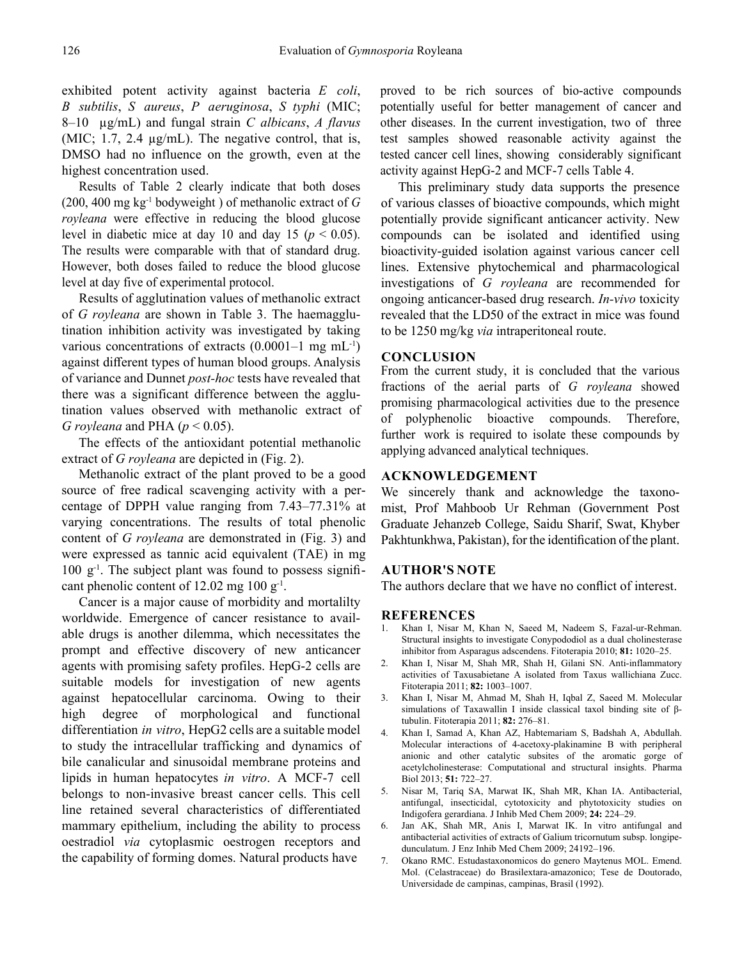exhibited potent activity against bacteria *E coli*, *B subtilis*, *S aureus*, *P aeruginosa*, *S typhi* (MIC; 8‒10 µg/mL) and fungal strain *C albicans*, *A flavus* (MIC;  $1.7$ ,  $2.4 \mu$ g/mL). The negative control, that is, DMSO had no influence on the growth, even at the highest concentration used.

Results of Table 2 clearly indicate that both doses (200, 400 mg kg-1 bodyweight ) of methanolic extract of *G royleana* were effective in reducing the blood glucose level in diabetic mice at day 10 and day 15 ( $p < 0.05$ ). The results were comparable with that of standard drug. However, both doses failed to reduce the blood glucose level at day five of experimental protocol.

Results of agglutination values of methanolic extract of *G royleana* are shown in Table 3. The haemagglutination inhibition activity was investigated by taking various concentrations of extracts  $(0.0001-1 \text{ mg} \text{ mL}^{-1})$ against different types of human blood groups. Analysis of variance and Dunnet *post-hoc* tests have revealed that there was a significant difference between the agglutination values observed with methanolic extract of *G royleana* and PHA ( $p < 0.05$ ).

The effects of the antioxidant potential methanolic extract of *G royleana* are depicted in (Fig. 2).

Methanolic extract of the plant proved to be a good source of free radical scavenging activity with a percentage of DPPH value ranging from 7.43–77.31% at varying concentrations. The results of total phenolic content of *G royleana* are demonstrated in (Fig. 3) and were expressed as tannic acid equivalent (TAE) in mg  $100 \text{ g}^{-1}$ . The subject plant was found to possess significant phenolic content of 12.02 mg 100  $g^{-1}$ .

Cancer is a major cause of morbidity and mortalilty worldwide. Emergence of cancer resistance to available drugs is another dilemma, which necessitates the prompt and effective discovery of new anticancer agents with promising safety profiles. HepG-2 cells are suitable models for investigation of new agents against hepatocellular carcinoma. Owing to their high degree of morphological and functional differentiation *in vitro*, HepG2 cells are a suitable model to study the intracellular trafficking and dynamics of bile canalicular and sinusoidal membrane proteins and lipids in human hepatocytes *in vitro*. A MCF-7 cell belongs to non-invasive breast cancer cells. This cell line retained several characteristics of differentiated mammary epithelium, including the ability to process oestradiol *via* cytoplasmic oestrogen receptors and the capability of forming domes. Natural products have

proved to be rich sources of bio-active compounds potentially useful for better management of cancer and other diseases. In the current investigation, two of three test samples showed reasonable activity against the tested cancer cell lines, showing considerably significant activity against HepG-2 and MCF-7 cells Table 4.

This preliminary study data supports the presence of various classes of bioactive compounds, which might potentially provide significant anticancer activity. New compounds can be isolated and identified using bioactivity-guided isolation against various cancer cell lines. Extensive phytochemical and pharmacological investigations of *G royleana* are recommended for ongoing anticancer-based drug research. *In-vivo* toxicity revealed that the LD50 of the extract in mice was found to be 1250 mg/kg *via* intraperitoneal route.

#### **CONCLUSION**

From the current study, it is concluded that the various fractions of the aerial parts of *G royleana* showed promising pharmacological activities due to the presence of polyphenolic bioactive compounds. Therefore, further work is required to isolate these compounds by applying advanced analytical techniques.

## **ACKNOWLEDGEMENT**

We sincerely thank and acknowledge the taxonomist, Prof Mahboob Ur Rehman (Government Post Graduate Jehanzeb College, Saidu Sharif, Swat, Khyber Pakhtunkhwa, Pakistan), for the identification of the plant.

## **AUTHOR'S NOTE**

The authors declare that we have no conflict of interest.

#### **REFERENCES**

- 1. Khan I, Nisar M, Khan N, Saeed M, Nadeem S, Fazal-ur-Rehman. Structural insights to investigate Conypododiol as a dual cholinesterase inhibitor from Asparagus adscendens. Fitoterapia 2010; 81: 1020-25.
- 2. Khan I, Nisar M, Shah MR, Shah H, Gilani SN. Anti-inflammatory activities of Taxusabietane A isolated from Taxus wallichiana Zucc. Fitoterapia 2011; **82:** 1003–1007.
- 3. Khan I, Nisar M, Ahmad M, Shah H, Iqbal Z, Saeed M. Molecular simulations of Taxawallin I inside classical taxol binding site of βtubulin. Fitoterapia 2011; **82:** 276–81.
- 4. Khan I, Samad A, Khan AZ, Habtemariam S, Badshah A, Abdullah. Molecular interactions of 4-acetoxy-plakinamine B with peripheral anionic and other catalytic subsites of the aromatic gorge of acetylcholinesterase: Computational and structural insights. Pharma Biol 2013; **51:** 722–27.
- 5. Nisar M, Tariq SA, Marwat IK, Shah MR, Khan IA. Antibacterial, antifungal, insecticidal, cytotoxicity and phytotoxicity studies on Indigofera gerardiana. J Inhib Med Chem 2009; **24:** 224–29.
- 6. Jan AK, Shah MR, Anis I, Marwat IK. In vitro antifungal and antibacterial activities of extracts of Galium tricornutum subsp. longipedunculatum. J Enz Inhib Med Chem 2009; 24192–196.
- 7. Okano RMC. Estudastaxonomicos do genero Maytenus MOL. Emend. Mol. (Celastraceae) do Brasilextara-amazonico; Tese de Doutorado, Universidade de campinas, campinas, Brasil (1992).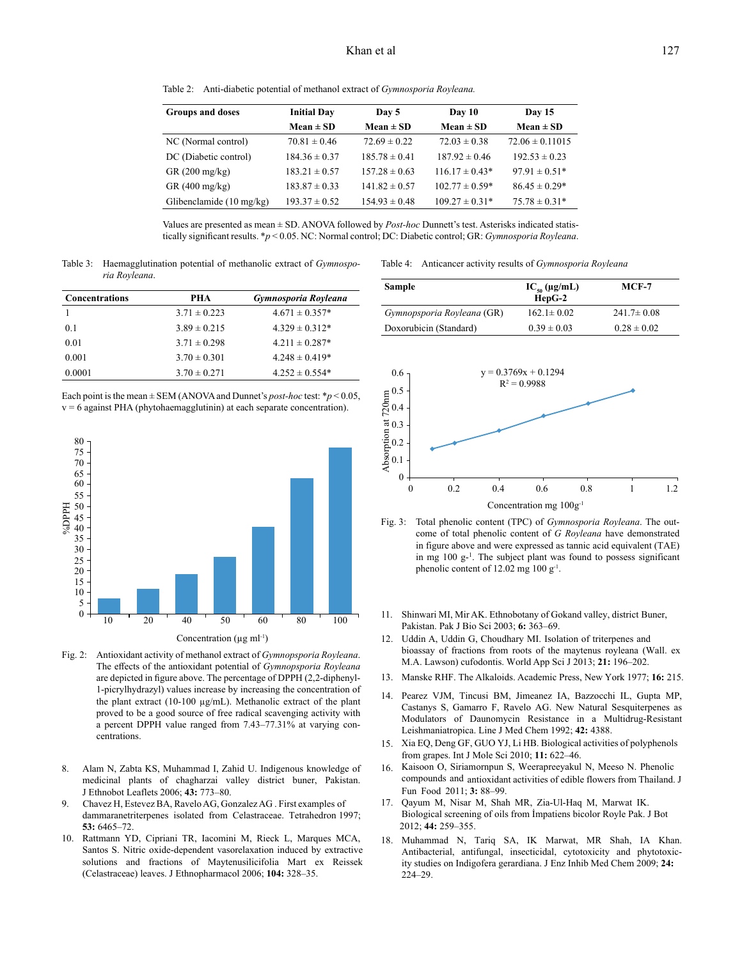Table 2: Anti-diabetic potential of methanol extract of *Gymnosporia Royleana.*

| <b>Groups and doses</b>            | <b>Initial Day</b> | Day 5             | Day 10             | <b>Day 15</b>       |
|------------------------------------|--------------------|-------------------|--------------------|---------------------|
|                                    | $Mean \pm SD$      | $Mean \pm SD$     | $Mean \pm SD$      | $Mean \pm SD$       |
| NC (Normal control)                | $70.81 \pm 0.46$   | $72.69 \pm 0.22$  | $72.03 \pm 0.38$   | $72.06 \pm 0.11015$ |
| DC (Diabetic control)              | $184.36 \pm 0.37$  | $185.78 \pm 0.41$ | $187.92 \pm 0.46$  | $192.53 \pm 0.23$   |
| $GR(200 \text{ mg/kg})$            | $183.21 \pm 0.57$  | $157.28 \pm 0.63$ | $116.17 \pm 0.43*$ | $97.91 \pm 0.51*$   |
| $GR(400 \text{ mg/kg})$            | $183.87 \pm 0.33$  | $141.82 \pm 0.57$ | $102.77 \pm 0.59*$ | $86.45 \pm 0.29*$   |
| Glibenclamide $(10 \text{ mg/kg})$ | $193.37 \pm 0.52$  | $154.93 \pm 0.48$ | $109.27 \pm 0.31*$ | $75.78 \pm 0.31*$   |

Values are presented as mean ± SD. ANOVA followed by *Post-hoc* Dunnett's test. Asterisks indicated statistically significant results. \**p* < 0.05. NC: Normal control; DC: Diabetic control; GR: *Gymnosporia Royleana*.

Table 3: Haemagglutination potential of methanolic extract of *Gymnosporia Royleana*.

| <b>Concentrations</b> | PHA              | Gymnosporia Royleana |
|-----------------------|------------------|----------------------|
|                       | $3.71 \pm 0.223$ | $4.671 \pm 0.357*$   |
| 0.1                   | $3.89 \pm 0.215$ | $4.329 \pm 0.312*$   |
| 0.01                  | $3.71 \pm 0.298$ | $4.211 \pm 0.287*$   |
| 0.001                 | $3.70 \pm 0.301$ | $4.248 \pm 0.419*$   |
| 0.0001                | $3.70 \pm 0.271$ | $4.252 \pm 0.554*$   |

Each point is the mean  $\pm$  SEM (ANOVA and Dunnet's *post-hoc* test: \* $p$  < 0.05, v = 6 against PHA (phytohaemagglutinin) at each separate concentration).



Fig. 2: Antioxidant activity of methanol extract of *Gymnopsporia Royleana*. The effects of the antioxidant potential of *Gymnopsporia Royleana* are depicted in figure above. The percentage of DPPH (2,2-diphenyl-1-picrylhydrazyl) values increase by increasing the concentration of the plant extract (10-100 µg/mL). Methanolic extract of the plant proved to be a good source of free radical scavenging activity with a percent DPPH value ranged from 7.43-77.31% at varying concentrations.

- 8. Alam N, Zabta KS, Muhammad I, Zahid U. Indigenous knowledge of medicinal plants of chagharzai valley district buner, Pakistan. J Ethnobot Leaflets 2006; **43:** 773–80.
- 9. Chavez H, Estevez BA, Ravelo AG, Gonzalez AG . First examples of dammaranetriterpenes isolated from Celastraceae. Tetrahedron 1997; **53:** 6465–72.
- 10. Rattmann YD, Cipriani TR, Iacomini M, Rieck L, Marques MCA, Santos S. Nitric oxide-dependent vasorelaxation induced by extractive solutions and fractions of Maytenusilicifolia Mart ex Reissek (Celastraceae) leaves. J Ethnopharmacol 2006; **104:** 328–35.

Table 4: Anticancer activity results of *Gymnosporia Royleana*

| Sample                     | $IC_{\rm so}$ (µg/mL)<br>$HepG-2$ | MCF-7            |
|----------------------------|-----------------------------------|------------------|
| Gymnopsporia Royleana (GR) | $162.1 \pm 0.02$                  | $241.7 \pm 0.08$ |
| Doxorubicin (Standard)     | $0.39 \pm 0.03$                   | $0.28 \pm 0.02$  |



Fig. 3: Total phenolic content (TPC) of *Gymnosporia Royleana*. The outcome of total phenolic content of *G Royleana* have demonstrated in figure above and were expressed as tannic acid equivalent (TAE) in mg 100 g-<sup>1</sup> . The subject plant was found to possess significant phenolic content of  $12.02$  mg  $100$  g<sup>-1</sup>.

- 11. Shinwari MI, Mir AK. Ethnobotany of Gokand valley, district Buner, Pakistan. Pak J Bio Sci 2003; **6:** 363–69.
- 12. Uddin A, Uddin G, Choudhary MI. Isolation of triterpenes and bioassay of fractions from roots of the maytenus royleana (Wall. ex M.A. Lawson) cufodontis. World App Sci J 2013; **21:** 196–202.
- 13. Manske RHF. The Alkaloids. Academic Press, New York 1977; **16:** 215.
- 14. Pearez VJM, Tincusi BM, Jimeanez IA, Bazzocchi IL, Gupta MP, Castanys S, Gamarro F, Ravelo AG. New Natural Sesquiterpenes as Modulators of Daunomycin Resistance in a Multidrug-Resistant Leishmaniatropica. Line J Med Chem 1992; **42:** 4388.
- 15. Xia EQ, Deng GF, GUO YJ, Li HB. Biological activities of polyphenols from grapes. Int J Mole Sci 2010; **11:** 622–46.
- 16. Kaisoon O, Siriamornpun S, Weerapreeyakul N, Meeso N. Phenolic compounds and antioxidant activities of edible flowers from Thailand. J Fun Food 2011; **3:** 88–99.
- 17. Qayum M, Nisar M, Shah MR, Zia-Ul-Haq M, Marwat IK. Biological screening of oils from İmpatiens bicolor Royle Pak. J Bot 2012; **44:** 259–355.
- 18. Muhammad N, Tariq SA, IK Marwat, MR Shah, IA Khan. Antibacterial, antifungal, insecticidal, cytotoxicity and phytotoxicity studies on Indigofera gerardiana. J Enz Inhib Med Chem 2009; **24:** 224–29.